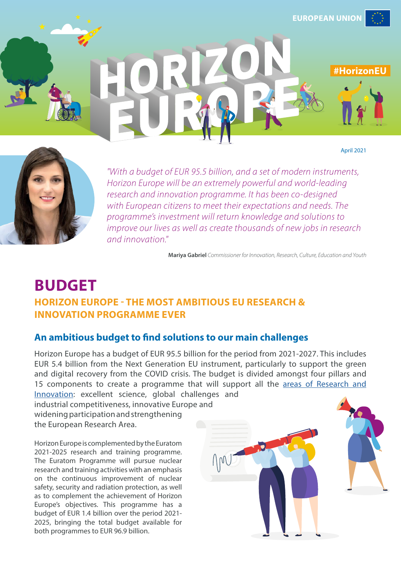

April 2021





*"With a budget of EUR 95.5 billion, and a set of modern instruments, Horizon Europe will be an extremely powerful and world-leading research and innovation programme. It has been co-designed with European citizens to meet their expectations and needs. The programme's investment will return knowledge and solutions to improve our lives as well as create thousands of new jobs in research and innovation."*

**Mariya Gabriel** *Commissioner for Innovation, Research, Culture, Education and Youth*

# **BUDGET HORIZON EUROPE - THE MOST AMBITIOUS EU RESEARCH & INNOVATION PROGRAMME EVER**

# **An ambitious budget to find solutions to our main challenges**

Horizon Europe has a budget of EUR 95.5 billion for the period from 2021-2027. This includes EUR 5.4 billion from the Next Generation EU instrument, particularly to support the green and digital recovery from the COVID crisis. The budget is divided amongst four pillars and 15 components to create a programme that will support all the [areas of Research and](https://op.europa.eu/en/publication-detail/-/publication/eef524e8-509e-11eb-b59f-01aa75ed71a1/language-en/format-PDF/source-190728921)  [Innovation:](https://op.europa.eu/en/publication-detail/-/publication/eef524e8-509e-11eb-b59f-01aa75ed71a1/language-en/format-PDF/source-190728921) excellent science, global challenges and

industrial competitiveness, innovative Europe and widening participation and strengthening the European Research Area.

Horizon Europe is complemented by the Euratom 2021-2025 research and training programme. The Euratom Programme will pursue nuclear research and training activities with an emphasis on the continuous improvement of nuclear safety, security and radiation protection, as well as to complement the achievement of Horizon Europe's objectives. This programme has a budget of EUR 1.4 billion over the period 2021- 2025, bringing the total budget available for both programmes to EUR 96.9 billion.

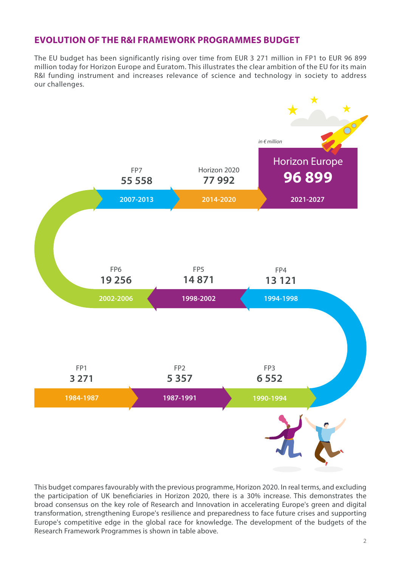# **EVOLUTION OF THE R&I FRAMEWORK PROGRAMMES BUDGET**

The EU budget has been significantly rising over time from EUR 3 271 million in FP1 to EUR 96 899 million today for Horizon Europe and Euratom. This illustrates the clear ambition of the EU for its main R&I funding instrument and increases relevance of science and technology in society to address our challenges.



This budget compares favourably with the previous programme, Horizon 2020. In real terms, and excluding the participation of UK beneficiaries in Horizon 2020, there is a 30% increase. This demonstrates the broad consensus on the key role of Research and Innovation in accelerating Europe's green and digital transformation, strengthening Europe's resilience and preparedness to face future crises and supporting Europe's competitive edge in the global race for knowledge. The development of the budgets of the Research Framework Programmes is shown in table above.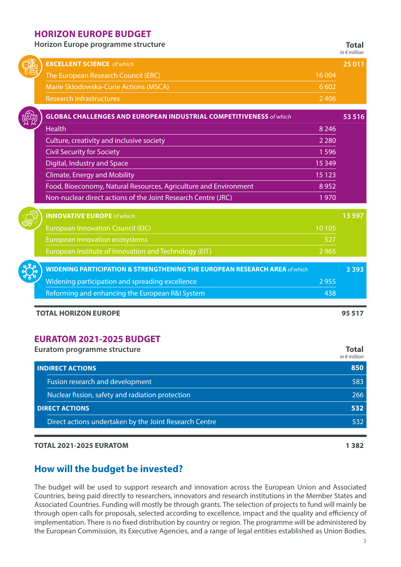## **HORIZON EUROPE BUDGET**

**Horizon Europe programme structure Total**

|            |                                                                                       |         | in $\notin$ million |
|------------|---------------------------------------------------------------------------------------|---------|---------------------|
|            | <b>EXCELLENT SCIENCE</b> of which                                                     |         | 25 0 11             |
|            | The European Research Council (ERC)                                                   | 16 004  |                     |
|            | Marie Skłodowska-Curie Actions (MSCA)                                                 | 6 6 0 2 |                     |
|            | <b>Research infrastructures</b>                                                       | 2 4 0 6 |                     |
|            | <b>GLOBAL CHALLENGES AND EUROPEAN INDUSTRIAL COMPETITIVENESS of which</b>             |         | 53 516              |
|            | <b>Health</b>                                                                         | 8 2 4 6 |                     |
|            | Culture, creativity and inclusive society                                             | 2 2 8 0 |                     |
|            | <b>Civil Security for Society</b>                                                     | 1 5 9 6 |                     |
|            | Digital, Industry and Space                                                           | 15 3 49 |                     |
|            | <b>Climate, Energy and Mobility</b>                                                   | 15 1 23 |                     |
|            | Food, Bioeconomy, Natural Resources, Agriculture and Environment                      | 8952    |                     |
|            | Non-nuclear direct actions of the Joint Research Centre (JRC)                         | 1970    |                     |
|            | <b>INNOVATIVE EUROPE</b> of which                                                     |         | 13 5 97             |
|            | <b>European Innovation Council (EIC)</b>                                              | 10 10 5 |                     |
|            | European innovation ecosystems                                                        | 527     |                     |
|            | European Institute of Innovation and Technology (EIT)                                 | 2 9 6 5 |                     |
| <b>DEC</b> | <b>WIDENING PARTICIPATION &amp; STRENGTHENING THE EUROPEAN RESEARCH AREA of which</b> |         | 3 3 9 3             |
|            | Widening participation and spreading excellence                                       | 2 9 5 5 |                     |
|            | Reforming and enhancing the European R&I System                                       | 438     |                     |
|            | <b>TOTAL HORIZON EUROPE</b>                                                           |         | 95 517              |

# **EURATOM 2021-2025 BUDGET**

 $\frac{1}{2}$ 

| <b>Euratom programme structure</b>                     | Total<br>in $\epsilon$ million |  |
|--------------------------------------------------------|--------------------------------|--|
| <b>INDIRECT ACTIONS</b>                                | 850                            |  |
| Fusion research and development                        | 583                            |  |
| Nuclear fission, safety and radiation protection       | 266                            |  |
| <b>DIRECT ACTIONS</b>                                  | 532                            |  |
| Direct actions undertaken by the Joint Research Centre | 532                            |  |

#### **TOTAL 2021-2025 EURATOM 1 382**

# **How will the budget be invested?**

The budget will be used to support research and innovation across the European Union and Associated Countries, being paid directly to researchers, innovators and research institutions in the Member States and Associated Countries. Funding will mostly be through grants. The selection of projects to fund will mainly be through open calls for proposals, selected according to excellence, impact and the quality and efficiency of implementation. There is no fixed distribution by country or region. The programme will be administered by the European Commission, its Executive Agencies, and a range of legal entities established as Union Bodies.